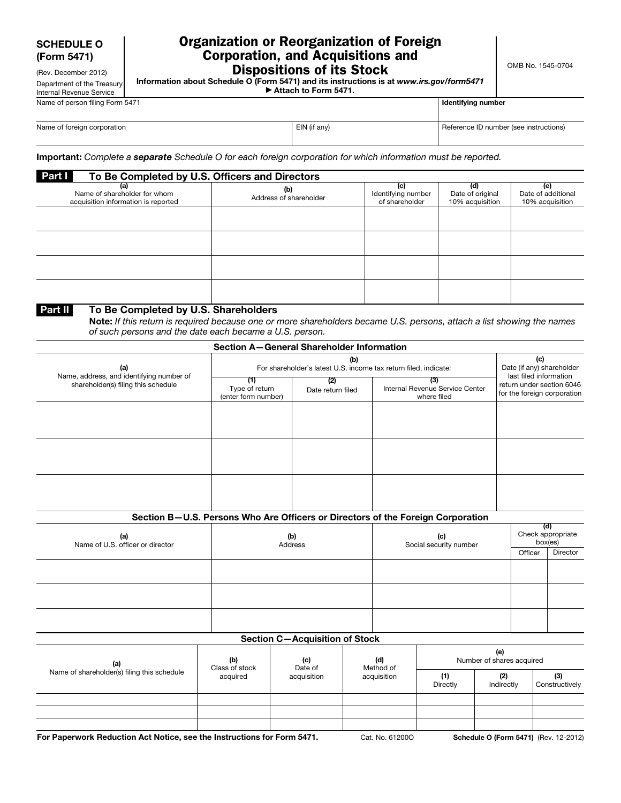(Rev. December 2012) Department of the Treasury

# Organization or Reorganization of Foreign Corporation, and Acquisitions and Dispositions of its Stock

Information about Schedule O (Form 5471) and its instructions is at *www.irs.gov/form5471* ▶ Attach to Form 5471.

Internal Revenue Service Name of person filing Form 5471

| Identifying number |  |
|--------------------|--|

| Name of foreign corporation | EIN (if any) | Reference ID number (see instructions) |
|-----------------------------|--------------|----------------------------------------|
|                             |              |                                        |

Important: *Complete a separate Schedule O for each foreign corporation for which information must be reported.* 

| Part I<br>To Be Completed by U.S. Officers and Directors                   |                               |                                             |                                            |                                              |  |  |  |
|----------------------------------------------------------------------------|-------------------------------|---------------------------------------------|--------------------------------------------|----------------------------------------------|--|--|--|
| (a)<br>Name of shareholder for whom<br>acquisition information is reported | (b)<br>Address of shareholder | (c)<br>Identifying number<br>of shareholder | (d)<br>Date of original<br>10% acquisition | (e)<br>Date of additional<br>10% acquisition |  |  |  |
|                                                                            |                               |                                             |                                            |                                              |  |  |  |
|                                                                            |                               |                                             |                                            |                                              |  |  |  |
|                                                                            |                               |                                             |                                            |                                              |  |  |  |
|                                                                            |                               |                                             |                                            |                                              |  |  |  |

## Part II To Be Completed by U.S. Shareholders

Note: If this return is required because one or more shareholders became U.S. persons, attach a list showing the names *of such persons and the date each became a U.S. person.* 

| Section A-General Shareholder Information                                       |                                                                         |                          |                                                                                 |                                                          |                                                            |                              |  |
|---------------------------------------------------------------------------------|-------------------------------------------------------------------------|--------------------------|---------------------------------------------------------------------------------|----------------------------------------------------------|------------------------------------------------------------|------------------------------|--|
| (a)                                                                             | (b)<br>For shareholder's latest U.S. income tax return filed, indicate: |                          |                                                                                 |                                                          | (c)<br>Date (if any) shareholder<br>last filed information |                              |  |
| Name, address, and identifying number of<br>shareholder(s) filing this schedule | (1)<br>Type of return<br>(enter form number)                            | (2)<br>Date return filed | (3)<br>Internal Revenue Service Center<br>where filed                           | return under section 6046<br>for the foreign corporation |                                                            |                              |  |
|                                                                                 |                                                                         |                          |                                                                                 |                                                          |                                                            |                              |  |
|                                                                                 |                                                                         |                          |                                                                                 |                                                          |                                                            |                              |  |
|                                                                                 |                                                                         |                          |                                                                                 |                                                          |                                                            |                              |  |
|                                                                                 |                                                                         |                          |                                                                                 |                                                          |                                                            |                              |  |
|                                                                                 |                                                                         |                          |                                                                                 |                                                          |                                                            |                              |  |
|                                                                                 |                                                                         |                          | Section B-U.S. Persons Who Are Officers or Directors of the Foreign Corporation |                                                          |                                                            |                              |  |
| (a)<br>Name of U.S. officer or director                                         | (b)<br>(c)<br>Social security number<br>Address                         |                          |                                                                                 |                                                          | (d)                                                        | Check appropriate<br>box(es) |  |
|                                                                                 |                                                                         |                          |                                                                                 | Officer                                                  | Director                                                   |                              |  |
|                                                                                 |                                                                         |                          |                                                                                 |                                                          |                                                            |                              |  |

| Section $C - \Lambda$ cquieition of Stock |  |  |  |  |  |
|-------------------------------------------|--|--|--|--|--|
|                                           |  |  |  |  |  |
|                                           |  |  |  |  |  |
|                                           |  |  |  |  |  |
|                                           |  |  |  |  |  |
|                                           |  |  |  |  |  |
|                                           |  |  |  |  |  |
|                                           |  |  |  |  |  |

#### Section C—Acquisition of Stock

| (a)                                         | (b)<br>(c)<br>Class of stock<br>Date of<br>acquired<br>acquisition |             | (d)<br>Method of | (e)<br>Number of shares acquired |                       |  |
|---------------------------------------------|--------------------------------------------------------------------|-------------|------------------|----------------------------------|-----------------------|--|
| Name of shareholder(s) filing this schedule |                                                                    | acquisition | (1)<br>Directly  | (2)<br>Indirectly                | (3)<br>Constructively |  |
|                                             |                                                                    |             |                  |                                  |                       |  |
|                                             |                                                                    |             |                  |                                  |                       |  |
|                                             |                                                                    |             |                  |                                  |                       |  |